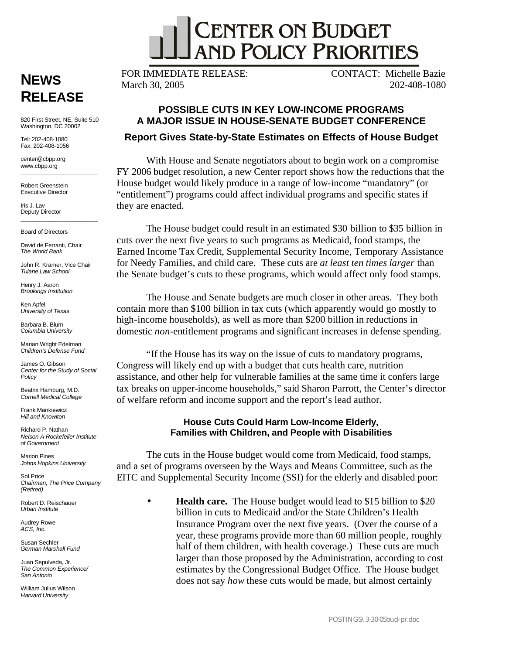

**NEWS** FOR IMMEDIATE RELEASE: CONTACT: Michelle Bazie<br>March 30, 2005 202-408-1080 March 30, 2005

## **POSSIBLE CUTS IN KEY LOW-INCOME PROGRAMS A MAJOR ISSUE IN HOUSE-SENATE BUDGET CONFERENCE**

**Report Gives State-by-State Estimates on Effects of House Budget**

With House and Senate negotiators about to begin work on a compromise FY 2006 budget resolution, a new Center report shows how the reductions that the House budget would likely produce in a range of low-income "mandatory" (or "entitlement") programs could affect individual programs and specific states if they are enacted.

The House budget could result in an estimated \$30 billion to \$35 billion in cuts over the next five years to such programs as Medicaid, food stamps, the Earned Income Tax Credit, Supplemental Security Income, Temporary Assistance for Needy Families, and child care. These cuts are *at least ten times larger* than the Senate budget's cuts to these programs, which would affect only food stamps.

The House and Senate budgets are much closer in other areas. They both contain more than \$100 billion in tax cuts (which apparently would go mostly to high-income households), as well as more than \$200 billion in reductions in domestic *non-*entitlement programs and significant increases in defense spending.

"If the House has its way on the issue of cuts to mandatory programs, Congress will likely end up with a budget that cuts health care, nutrition assistance, and other help for vulnerable families at the same time it confers large tax breaks on upper-income households," said Sharon Parrott, the Center's director of welfare reform and income support and the report's lead author.

### **House Cuts Could Harm Low-Income Elderly, Families with Children, and People with Disabilities**

The cuts in the House budget would come from Medicaid, food stamps, and a set of programs overseen by the Ways and Means Committee, such as the EITC and Supplemental Security Income (SSI) for the elderly and disabled poor:

• **Health care.** The House budget would lead to \$15 billion to \$20 billion in cuts to Medicaid and/or the State Children's Health Insurance Program over the next five years. (Over the course of a year, these programs provide more than 60 million people, roughly half of them children, with health coverage.) These cuts are much larger than those proposed by the Administration, according to cost estimates by the Congressional Budget Office. The House budget does not say *how* these cuts would be made, but almost certainly

# **RELEASE**

\_\_\_\_\_\_\_\_\_ 820 First Street, NE, Suite 510 Washington, DC 20002

Tel: 202-408-1080 Fax: 202-408-1056

center@cbpp.org www.cbpp.org  $\frac{1}{2}$  ,  $\frac{1}{2}$  ,  $\frac{1}{2}$  ,  $\frac{1}{2}$  ,  $\frac{1}{2}$  ,  $\frac{1}{2}$  ,  $\frac{1}{2}$  ,  $\frac{1}{2}$  ,  $\frac{1}{2}$  ,  $\frac{1}{2}$  ,  $\frac{1}{2}$  ,  $\frac{1}{2}$  ,  $\frac{1}{2}$  ,  $\frac{1}{2}$  ,  $\frac{1}{2}$  ,  $\frac{1}{2}$  ,  $\frac{1}{2}$  ,  $\frac{1}{2}$  ,  $\frac{1$ 

Robert Greenstein Executive Director

Iris J. Lav Deputy Director  $\overline{\phantom{a}}$  , where  $\overline{\phantom{a}}$  , where  $\overline{\phantom{a}}$  , where  $\overline{\phantom{a}}$ 

Board of Directors

David de Ferranti, Chair *The World Bank*

John R. Kramer, Vice Chair *Tulane Law School*

Henry J. Aaron *Brookings Institution*

Ken Apfel *University of Texas*

Barbara B. Blum *Columbia University*

Marian Wright Edelman *Children's Defense Fund*

James O. Gibson *Center for the Study of Social Policy*

Beatrix Hamburg, M.D. *Cornell Medical College*

Frank Mankiewicz *Hill and Knowlton*

Richard P. Nathan *Nelson A Rockefeller Institute of Government*

Marion Pines *Johns Hopkins University*

Sol Price *Chairman, The Price Company (Retired)*

Robert D. Reischauer *Urban Institute*

Audrey Rowe *ACS, Inc.*

Susan Sechler *German Marshall Fund*

Juan Sepulveda, Jr. *The Common Experience/ San Antonio*

William Julius Wilson *Harvard University*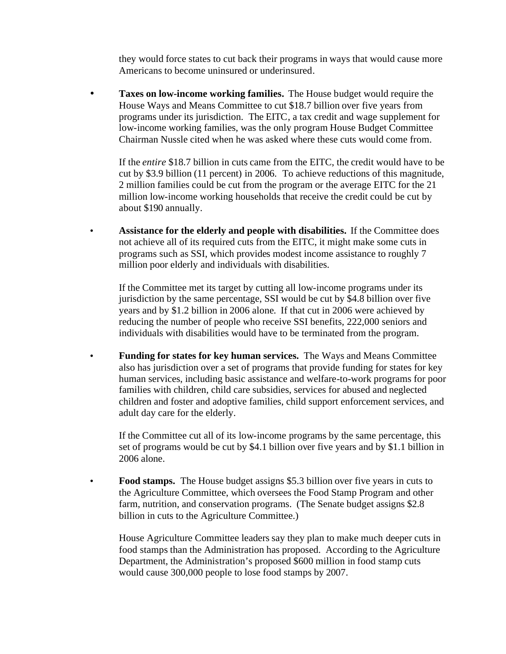they would force states to cut back their programs in ways that would cause more Americans to become uninsured or underinsured.

• **Taxes on low-income working families.** The House budget would require the House Ways and Means Committee to cut \$18.7 billion over five years from programs under its jurisdiction. The EITC, a tax credit and wage supplement for low-income working families, was the only program House Budget Committee Chairman Nussle cited when he was asked where these cuts would come from.

If the *entire* \$18.7 billion in cuts came from the EITC, the credit would have to be cut by \$3.9 billion (11 percent) in 2006. To achieve reductions of this magnitude, 2 million families could be cut from the program or the average EITC for the 21 million low-income working households that receive the credit could be cut by about \$190 annually.

• **Assistance for the elderly and people with disabilities.** If the Committee does not achieve all of its required cuts from the EITC, it might make some cuts in programs such as SSI, which provides modest income assistance to roughly 7 million poor elderly and individuals with disabilities.

If the Committee met its target by cutting all low-income programs under its jurisdiction by the same percentage, SSI would be cut by \$4.8 billion over five years and by \$1.2 billion in 2006 alone. If that cut in 2006 were achieved by reducing the number of people who receive SSI benefits*,* 222,000 seniors and individuals with disabilities would have to be terminated from the program.

• **Funding for states for key human services.** The Ways and Means Committee also has jurisdiction over a set of programs that provide funding for states for key human services, including basic assistance and welfare-to-work programs for poor families with children, child care subsidies, services for abused and neglected children and foster and adoptive families, child support enforcement services, and adult day care for the elderly.

If the Committee cut all of its low-income programs by the same percentage, this set of programs would be cut by \$4.1 billion over five years and by \$1.1 billion in 2006 alone.

• **Food stamps.** The House budget assigns \$5.3 billion over five years in cuts to the Agriculture Committee, which oversees the Food Stamp Program and other farm, nutrition, and conservation programs. (The Senate budget assigns \$2.8 billion in cuts to the Agriculture Committee.)

House Agriculture Committee leaders say they plan to make much deeper cuts in food stamps than the Administration has proposed. According to the Agriculture Department, the Administration's proposed \$600 million in food stamp cuts would cause 300,000 people to lose food stamps by 2007.